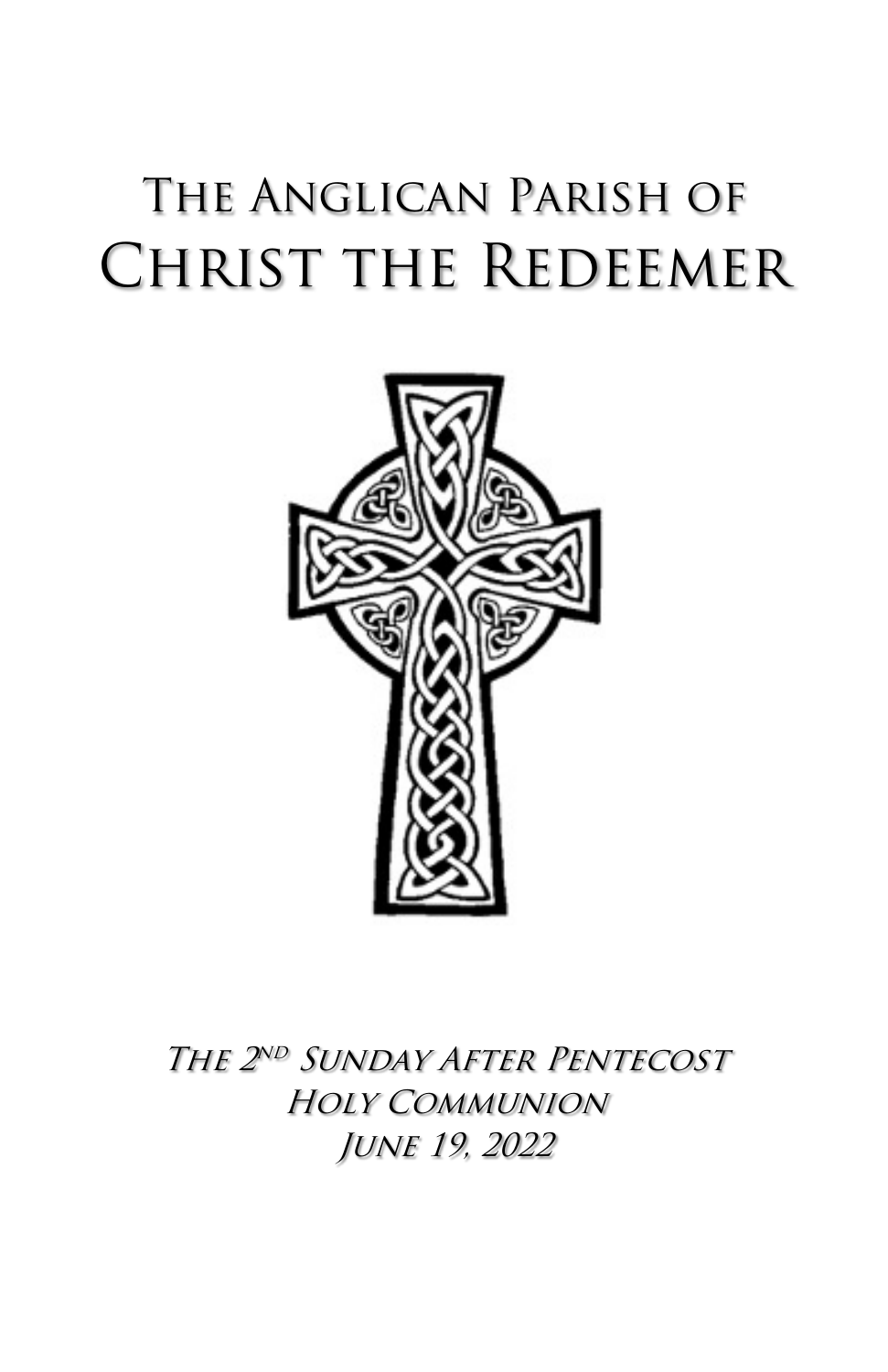# The Anglican Parish of Christ the Redeemer



The 2nd Sunday After Pentecost Holy Communion June 19, 2022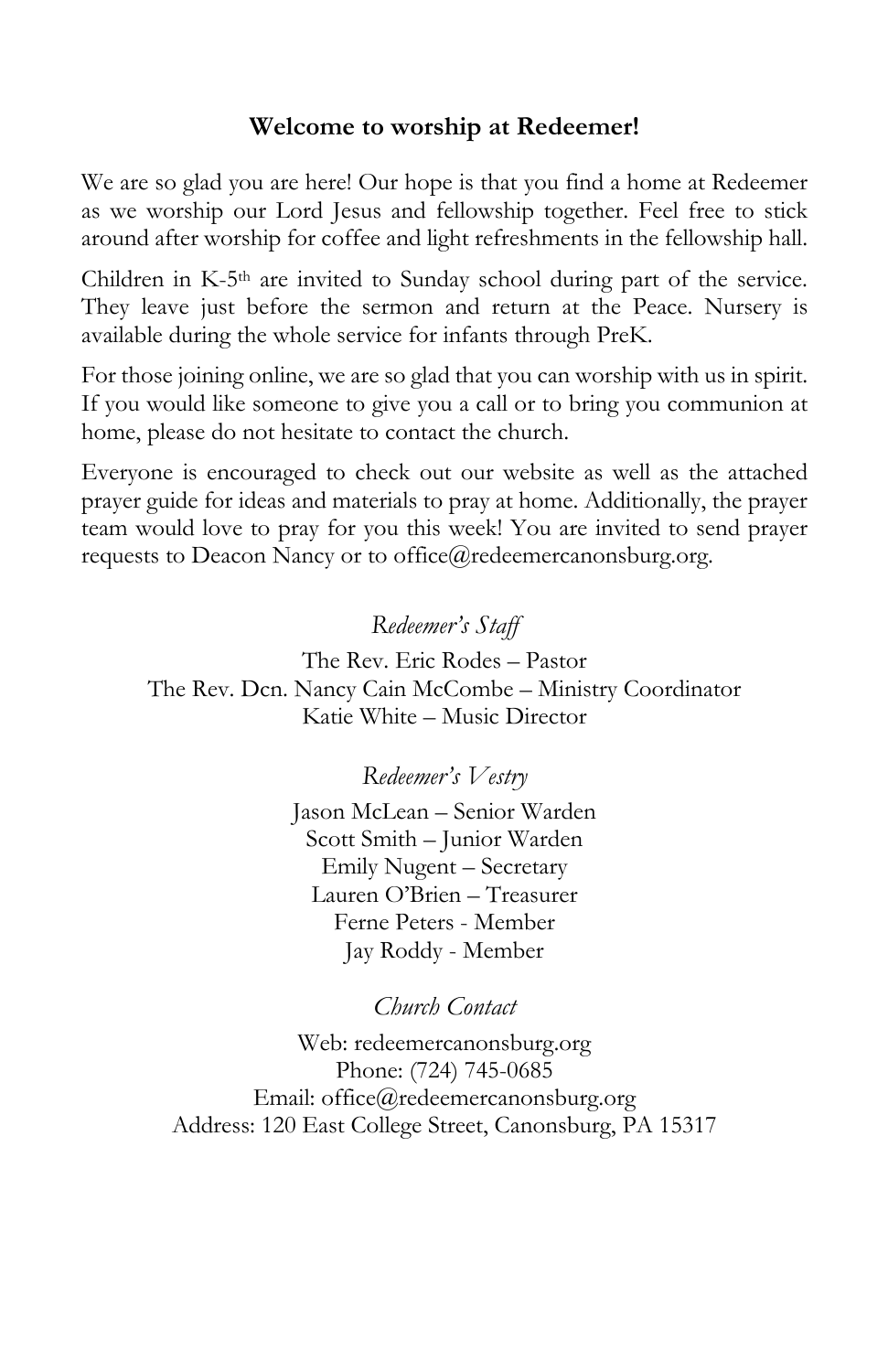#### **Welcome to worship at Redeemer!**

We are so glad you are here! Our hope is that you find a home at Redeemer as we worship our Lord Jesus and fellowship together. Feel free to stick around after worship for coffee and light refreshments in the fellowship hall.

Children in K-5th are invited to Sunday school during part of the service. They leave just before the sermon and return at the Peace. Nursery is available during the whole service for infants through PreK.

For those joining online, we are so glad that you can worship with us in spirit. If you would like someone to give you a call or to bring you communion at home, please do not hesitate to contact the church.

Everyone is encouraged to check out our website as well as the attached prayer guide for ideas and materials to pray at home. Additionally, the prayer team would love to pray for you this week! You are invited to send prayer requests to Deacon Nancy or to office@redeemercanonsburg.org.

#### *Redeemer's Staff*

The Rev. Eric Rodes – Pastor The Rev. Dcn. Nancy Cain McCombe – Ministry Coordinator Katie White – Music Director

#### *Redeemer's Vestry*

Jason McLean – Senior Warden Scott Smith – Junior Warden Emily Nugent – Secretary Lauren O'Brien – Treasurer Ferne Peters - Member Jay Roddy - Member

#### *Church Contact*

Web: redeemercanonsburg.org Phone: (724) 745-0685 Email: office@redeemercanonsburg.org Address: 120 East College Street, Canonsburg, PA 15317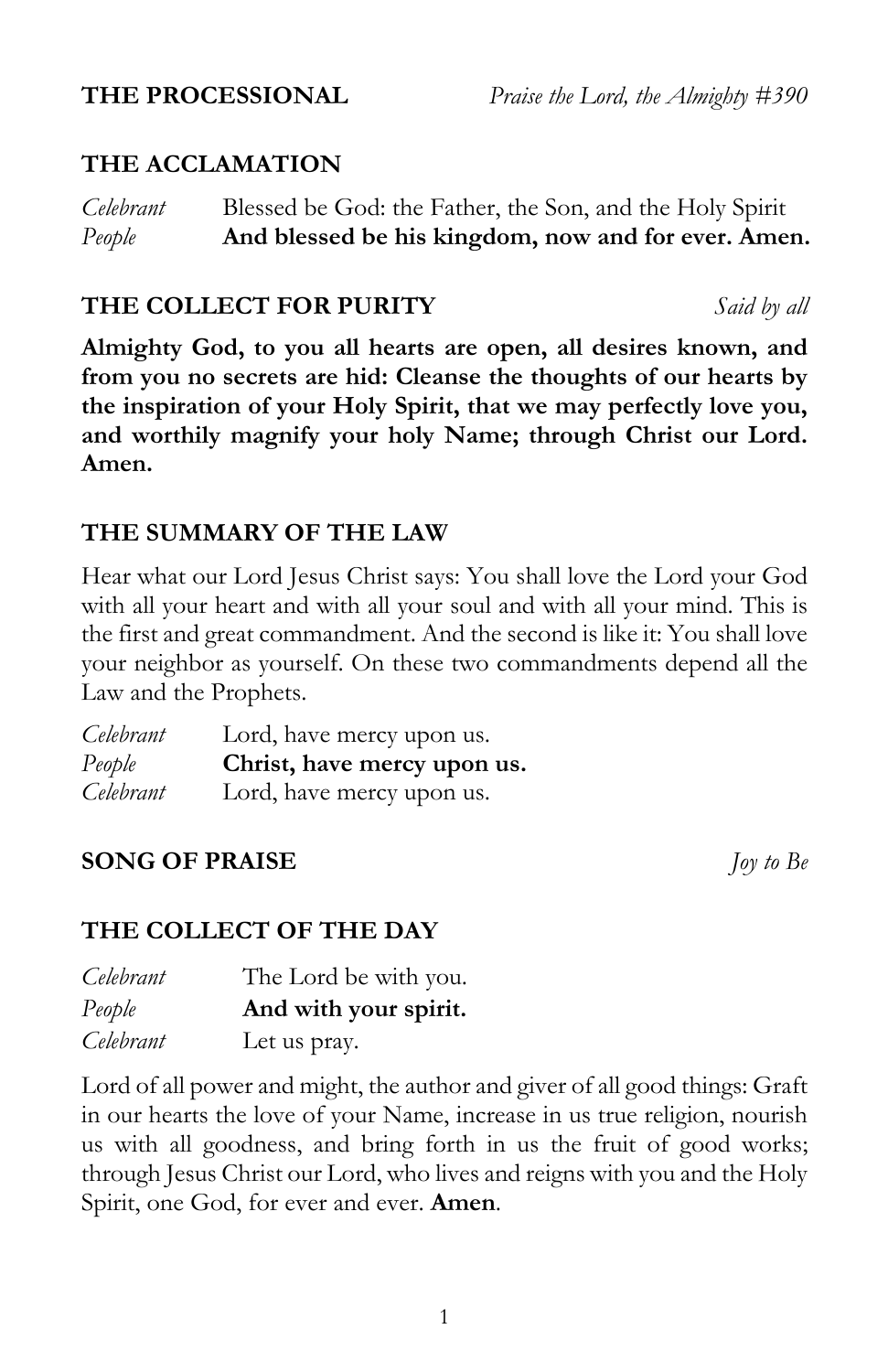# **THE ACCLAMATION**

*Celebrant* Blessed be God: the Father, the Son, and the Holy Spirit *People* **And blessed be his kingdom, now and for ever. Amen.**

#### **THE COLLECT FOR PURITY** *Said by all*

**Almighty God, to you all hearts are open, all desires known, and from you no secrets are hid: Cleanse the thoughts of our hearts by the inspiration of your Holy Spirit, that we may perfectly love you, and worthily magnify your holy Name; through Christ our Lord. Amen.**

#### **THE SUMMARY OF THE LAW**

Hear what our Lord Jesus Christ says: You shall love the Lord your God with all your heart and with all your soul and with all your mind. This is the first and great commandment. And the second is like it: You shall love your neighbor as yourself. On these two commandments depend all the Law and the Prophets.

| Celebrant | Lord, have mercy upon us.   |
|-----------|-----------------------------|
| People    | Christ, have mercy upon us. |
| Celebrant | Lord, have mercy upon us.   |

# **SONG OF PRAISE** *Joy to Be*

### **THE COLLECT OF THE DAY**

| Celebrant | The Lord be with you. |
|-----------|-----------------------|
| People    | And with your spirit. |
| Celebrant | Let us pray.          |

Lord of all power and might, the author and giver of all good things: Graft in our hearts the love of your Name, increase in us true religion, nourish us with all goodness, and bring forth in us the fruit of good works; through Jesus Christ our Lord, who lives and reigns with you and the Holy Spirit, one God, for ever and ever. **Amen**.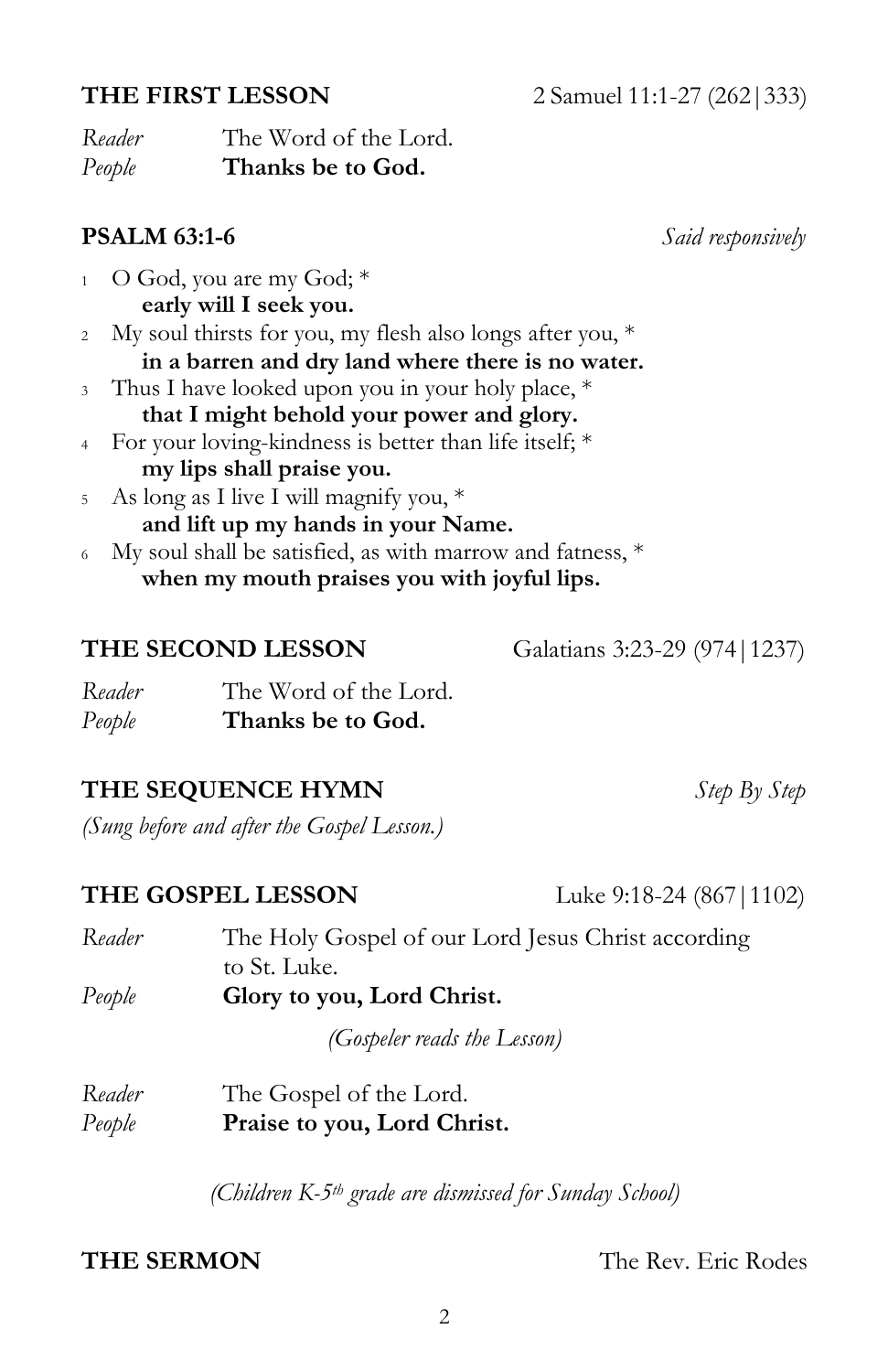*Reader* The Word of the Lord. *People* **Thanks be to God.**

**my lips shall praise you.** <sup>5</sup> As long as I live I will magnify you, \*

### **THE SEQUENCE HYMN** *Step By Step*

*(Sung before and after the Gospel Lesson.)*

#### **THE GOSPEL LESSON** Luke 9:18-24 (867 | 1102)

| Reader | The Holy Gospel of our Lord Jesus Christ according |
|--------|----------------------------------------------------|
|        | to St. Luke.                                       |
| People | Glory to you, Lord Christ.                         |
|        | (Gospeler reads the Lesson)                        |
| Reader | The Gospel of the Lord.                            |

*People* **Praise to you, Lord Christ.**

**THE SERMON** The Rev. Eric Rodes

*Reader* The Word of the Lord. *People* **Thanks be to God.**

<sup>2</sup> My soul thirsts for you, my flesh also longs after you, \*

<sup>3</sup> Thus I have looked upon you in your holy place, \* **that I might behold your power and glory.** <sup>4</sup> For your loving-kindness is better than life itself; \*

**and lift up my hands in your Name.** <sup>6</sup> My soul shall be satisfied, as with marrow and fatness, \* **when my mouth praises you with joyful lips.**

**in a barren and dry land where there is no water.**

 $1$  O God, you are my God;  $*$ **early will I seek you.**

**PSALM 63:1-6** *Said responsively*

**THE SECOND LESSON** Galatians 3:23-29 (974 | 1237)

*(Children K-5th grade are dismissed for Sunday School)*

**THE FIRST LESSON** 2 Samuel 11:1-27 (262|333)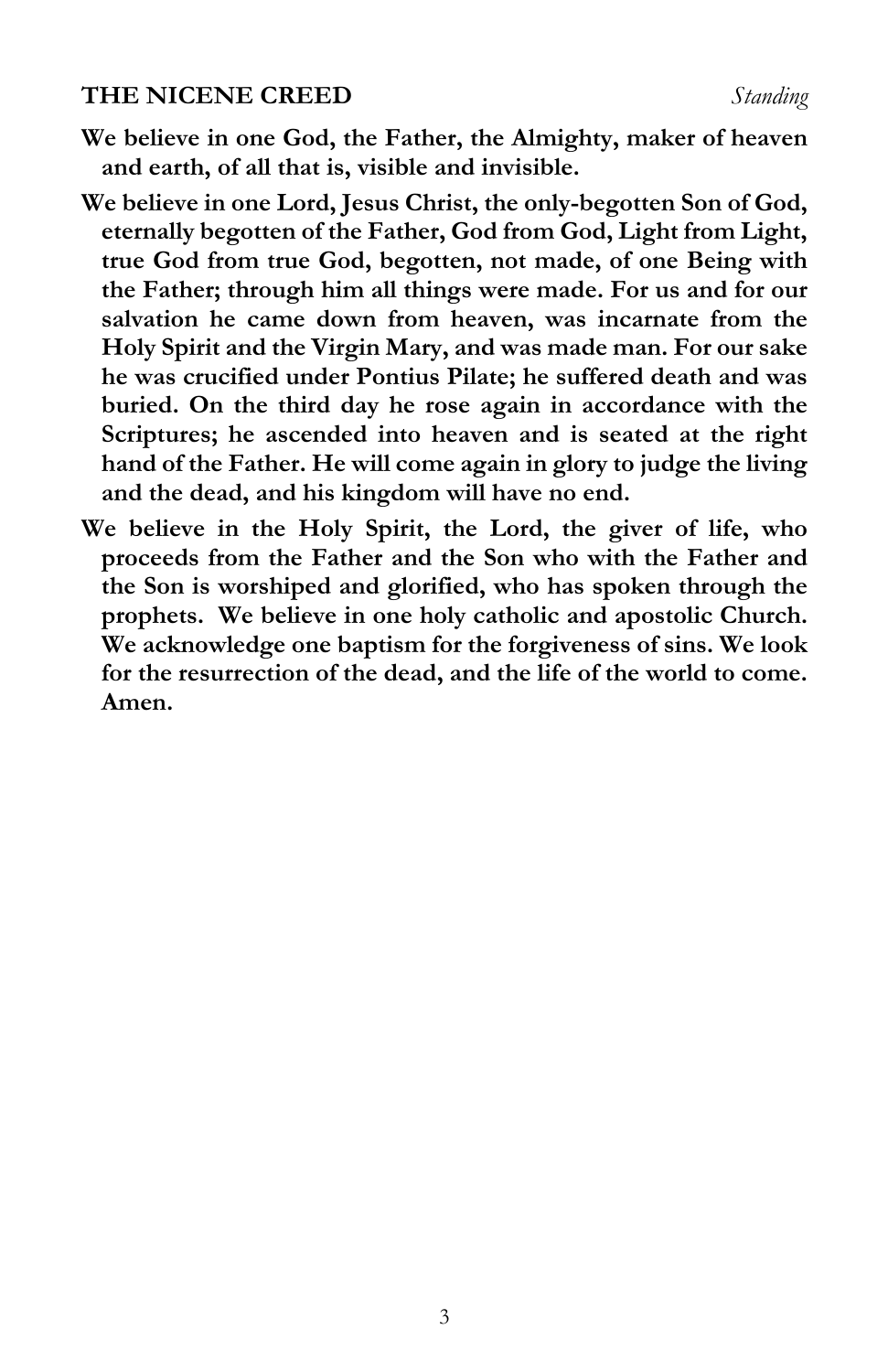#### **THE NICENE CREED** *Standing*

**We believe in one God, the Father, the Almighty, maker of heaven and earth, of all that is, visible and invisible.**

- **We believe in one Lord, Jesus Christ, the only-begotten Son of God, eternally begotten of the Father, God from God, Light from Light, true God from true God, begotten, not made, of one Being with the Father; through him all things were made. For us and for our salvation he came down from heaven, was incarnate from the Holy Spirit and the Virgin Mary, and was made man. For our sake he was crucified under Pontius Pilate; he suffered death and was buried. On the third day he rose again in accordance with the Scriptures; he ascended into heaven and is seated at the right hand of the Father. He will come again in glory to judge the living and the dead, and his kingdom will have no end.**
- **We believe in the Holy Spirit, the Lord, the giver of life, who proceeds from the Father and the Son who with the Father and the Son is worshiped and glorified, who has spoken through the prophets. We believe in one holy catholic and apostolic Church. We acknowledge one baptism for the forgiveness of sins. We look for the resurrection of the dead, and the life of the world to come. Amen.**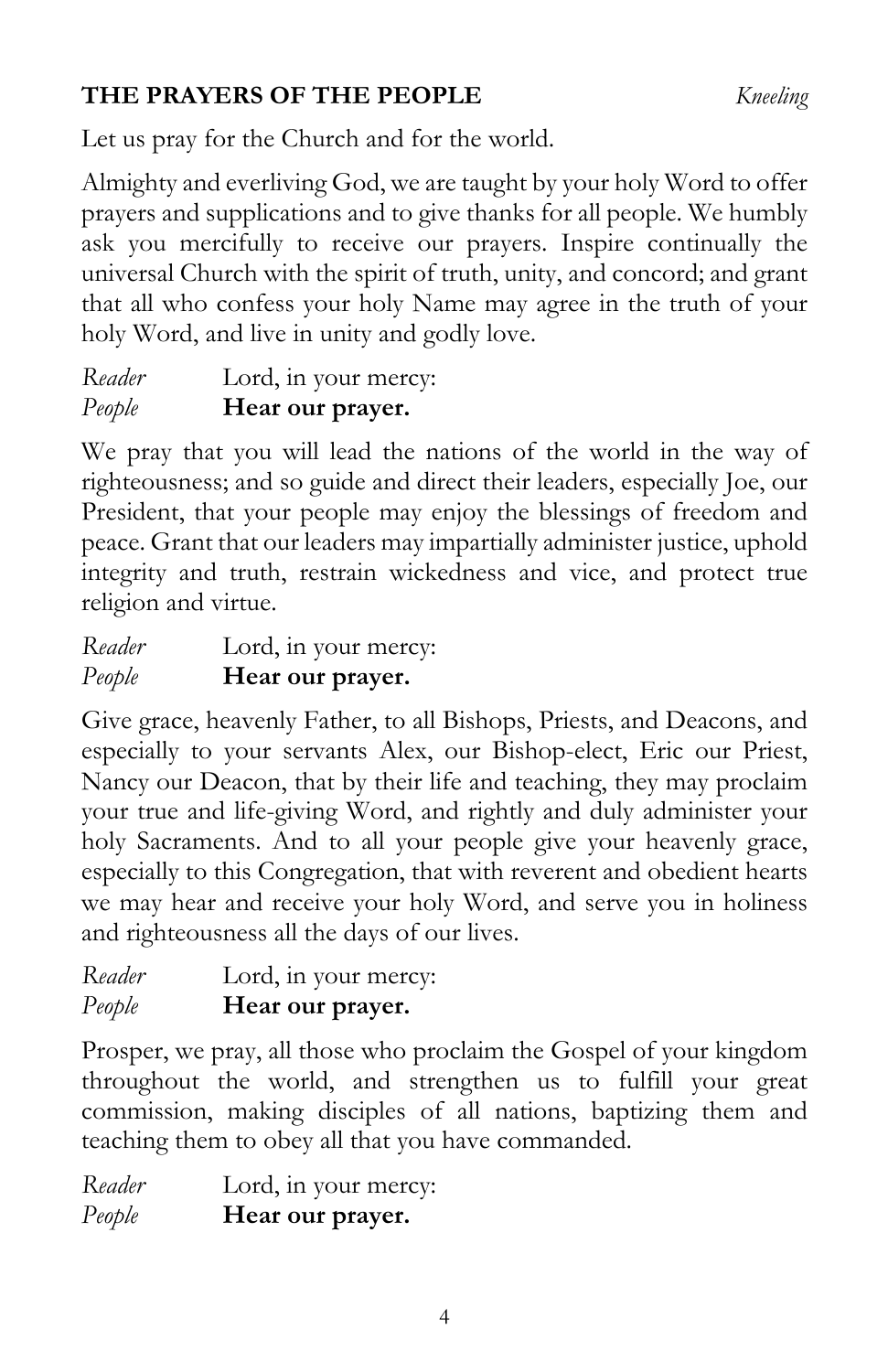# **THE PRAYERS OF THE PEOPLE** *Kneeling*

Let us pray for the Church and for the world.

Almighty and everliving God, we are taught by your holy Word to offer prayers and supplications and to give thanks for all people. We humbly ask you mercifully to receive our prayers. Inspire continually the universal Church with the spirit of truth, unity, and concord; and grant that all who confess your holy Name may agree in the truth of your holy Word, and live in unity and godly love.

*Reader* Lord, in your mercy: *People* **Hear our prayer.** 

We pray that you will lead the nations of the world in the way of righteousness; and so guide and direct their leaders, especially Joe, our President, that your people may enjoy the blessings of freedom and peace. Grant that our leaders may impartially administer justice, uphold integrity and truth, restrain wickedness and vice, and protect true religion and virtue.

| Reader | Lord, in your mercy: |
|--------|----------------------|
| People | Hear our prayer.     |

Give grace, heavenly Father, to all Bishops, Priests, and Deacons, and especially to your servants Alex, our Bishop-elect, Eric our Priest, Nancy our Deacon, that by their life and teaching, they may proclaim your true and life-giving Word, and rightly and duly administer your holy Sacraments. And to all your people give your heavenly grace, especially to this Congregation, that with reverent and obedient hearts we may hear and receive your holy Word, and serve you in holiness and righteousness all the days of our lives.

| Reader | Lord, in your mercy: |
|--------|----------------------|
| People | Hear our prayer.     |

Prosper, we pray, all those who proclaim the Gospel of your kingdom throughout the world, and strengthen us to fulfill your great commission, making disciples of all nations, baptizing them and teaching them to obey all that you have commanded.

*Reader* Lord, in your mercy: *People* **Hear our prayer.**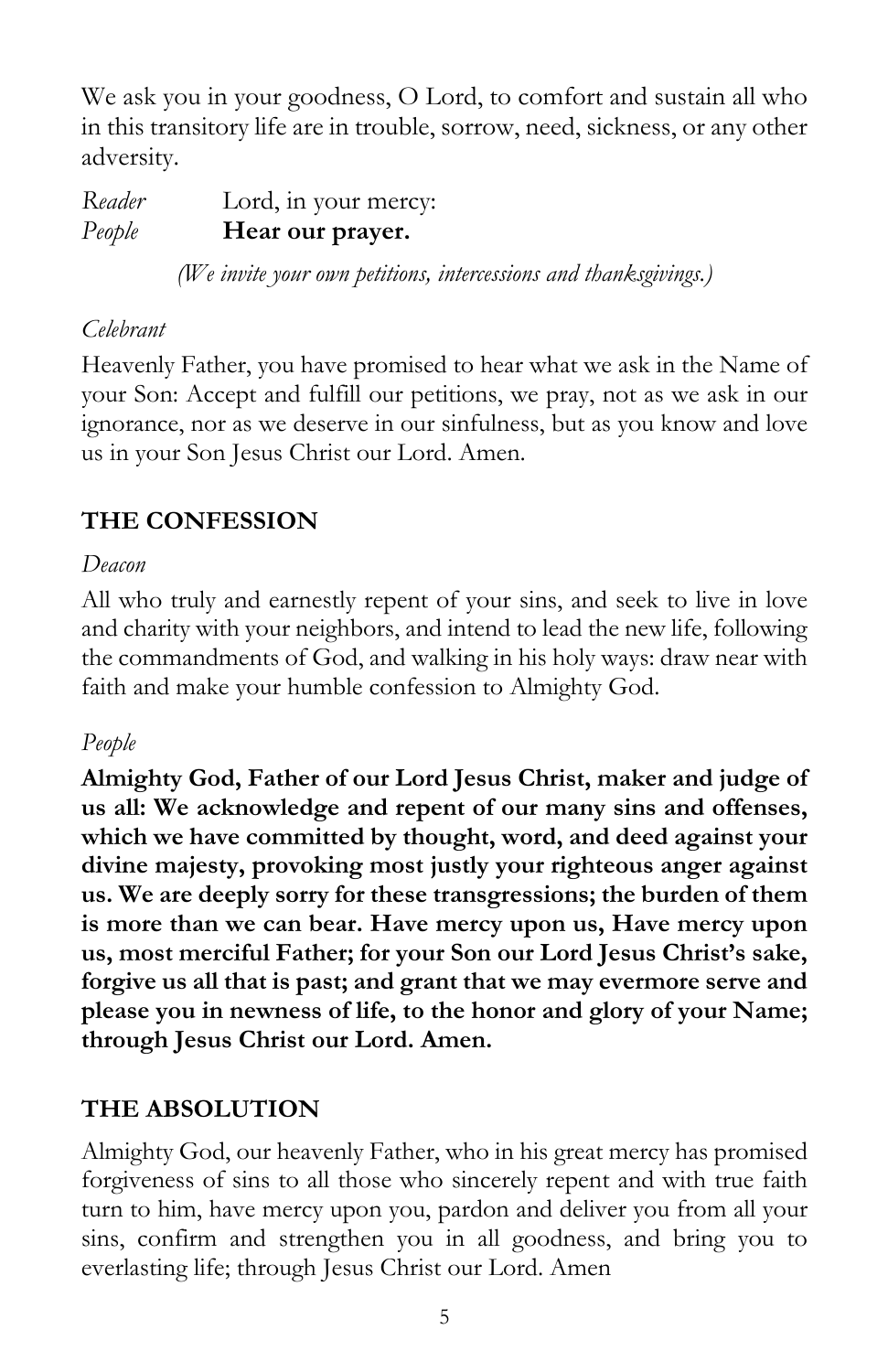We ask you in your goodness, O Lord, to comfort and sustain all who in this transitory life are in trouble, sorrow, need, sickness, or any other adversity.

*Reader* Lord, in your mercy: *People* **Hear our prayer.** 

*(We invite your own petitions, intercessions and thanksgivings.)*

### *Celebrant*

Heavenly Father, you have promised to hear what we ask in the Name of your Son: Accept and fulfill our petitions, we pray, not as we ask in our ignorance, nor as we deserve in our sinfulness, but as you know and love us in your Son Jesus Christ our Lord. Amen.

# **THE CONFESSION**

# *Deacon*

All who truly and earnestly repent of your sins, and seek to live in love and charity with your neighbors, and intend to lead the new life, following the commandments of God, and walking in his holy ways: draw near with faith and make your humble confession to Almighty God.

# *People*

**Almighty God, Father of our Lord Jesus Christ, maker and judge of us all: We acknowledge and repent of our many sins and offenses, which we have committed by thought, word, and deed against your divine majesty, provoking most justly your righteous anger against us. We are deeply sorry for these transgressions; the burden of them is more than we can bear. Have mercy upon us, Have mercy upon us, most merciful Father; for your Son our Lord Jesus Christ's sake, forgive us all that is past; and grant that we may evermore serve and please you in newness of life, to the honor and glory of your Name; through Jesus Christ our Lord. Amen.**

# **THE ABSOLUTION**

Almighty God, our heavenly Father, who in his great mercy has promised forgiveness of sins to all those who sincerely repent and with true faith turn to him, have mercy upon you, pardon and deliver you from all your sins, confirm and strengthen you in all goodness, and bring you to everlasting life; through Jesus Christ our Lord. Amen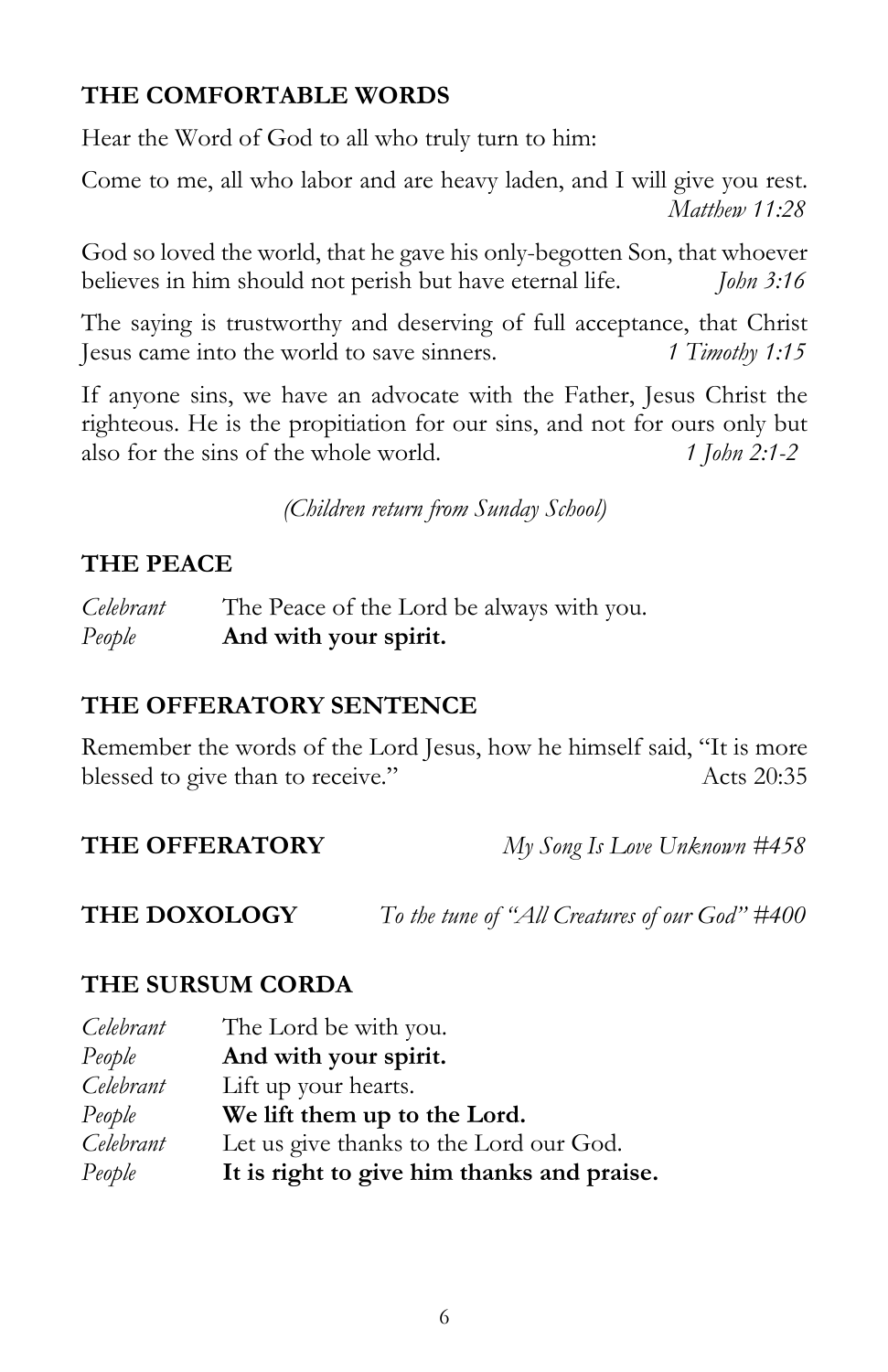# **THE COMFORTABLE WORDS**

Hear the Word of God to all who truly turn to him:

Come to me, all who labor and are heavy laden, and I will give you rest. *Matthew 11:28*

God so loved the world, that he gave his only-begotten Son, that whoever believes in him should not perish but have eternal life. *John 3:16*

The saying is trustworthy and deserving of full acceptance, that Christ Jesus came into the world to save sinners. *1 Timothy 1:15*

If anyone sins, we have an advocate with the Father, Jesus Christ the righteous. He is the propitiation for our sins, and not for ours only but also for the sins of the whole world. *1 John 2:1-2*

*(Children return from Sunday School)*

# **THE PEACE**

*Celebrant* The Peace of the Lord be always with you. *People* **And with your spirit.**

# **THE OFFERATORY SENTENCE**

Remember the words of the Lord Jesus, how he himself said, "It is more blessed to give than to receive." Acts 20:35

**THE OFFERATORY** *My Song Is Love Unknown #458*

**THE DOXOLOGY** *To the tune of "All Creatures of our God" #400*

### **THE SURSUM CORDA**

| Celebrant | The Lord be with you.                      |
|-----------|--------------------------------------------|
| People    | And with your spirit.                      |
| Celebrant | Lift up your hearts.                       |
| People    | We lift them up to the Lord.               |
| Celebrant | Let us give thanks to the Lord our God.    |
| People    | It is right to give him thanks and praise. |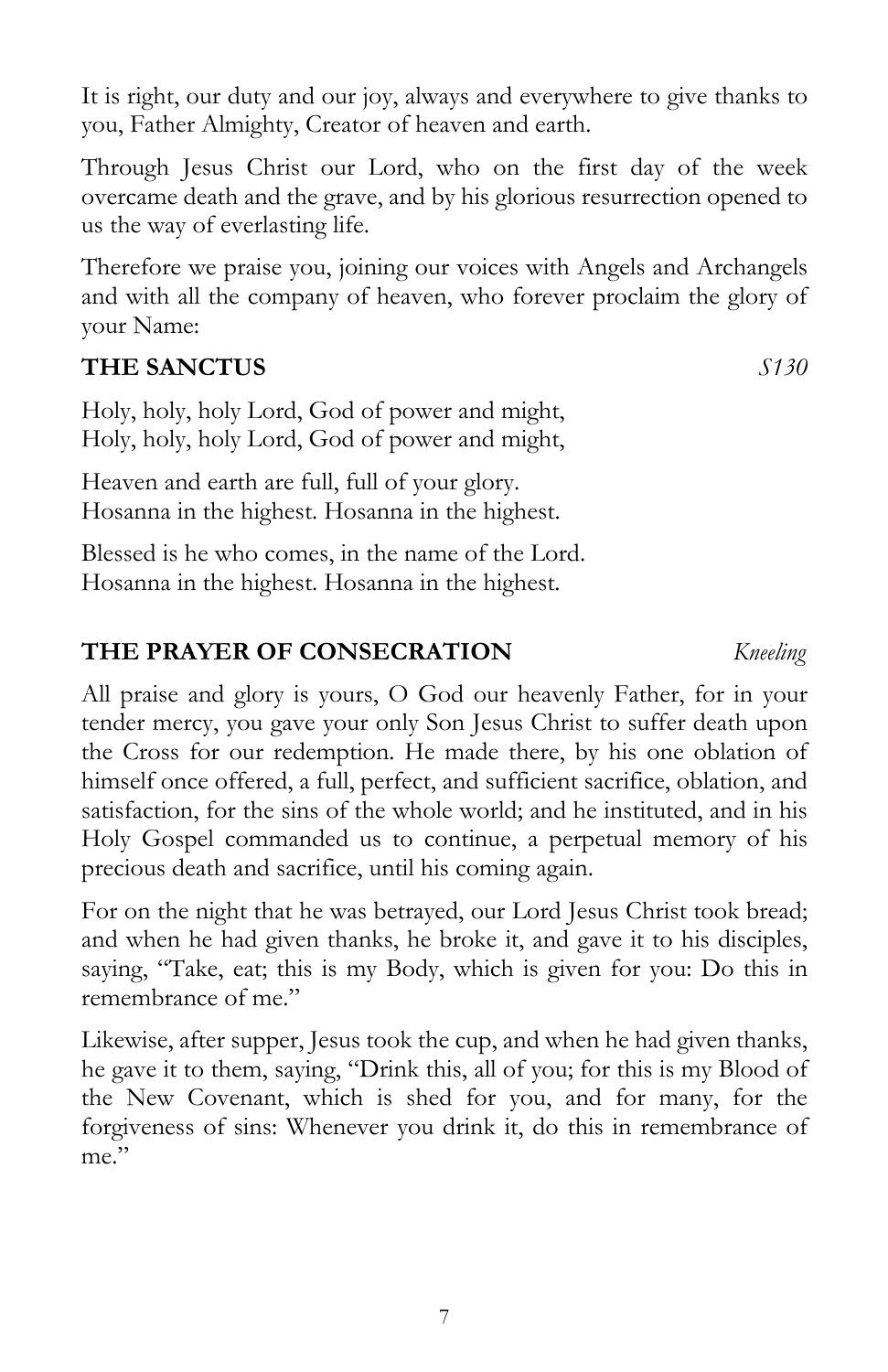It is right, our duty and our joy, always and everywhere to give thanks to you, Father Almighty, Creator of heaven and earth.

Through Jesus Christ our Lord, who on the first day of the week overcame death and the grave, and by his glorious resurrection opened to us the way of everlasting life.

Therefore we praise you, joining our voices with Angels and Archangels and with all the company of heaven, who forever proclaim the glory of your Name:

# **THE SANCTUS** *S130*

Holy, holy, holy Lord, God of power and might, Holy, holy, holy Lord, God of power and might,

Heaven and earth are full, full of your glory. Hosanna in the highest. Hosanna in the highest.

Blessed is he who comes, in the name of the Lord. Hosanna in the highest. Hosanna in the highest.

# **THE PRAYER OF CONSECRATION** *Kneeling*

All praise and glory is yours, O God our heavenly Father, for in your tender mercy, you gave your only Son Jesus Christ to suffer death upon the Cross for our redemption. He made there, by his one oblation of himself once offered, a full, perfect, and sufficient sacrifice, oblation, and satisfaction, for the sins of the whole world; and he instituted, and in his Holy Gospel commanded us to continue, a perpetual memory of his precious death and sacrifice, until his coming again.

For on the night that he was betrayed, our Lord Jesus Christ took bread; and when he had given thanks, he broke it, and gave it to his disciples, saying, "Take, eat; this is my Body, which is given for you: Do this in remembrance of me."

Likewise, after supper, Jesus took the cup, and when he had given thanks, he gave it to them, saying, "Drink this, all of you; for this is my Blood of the New Covenant, which is shed for you, and for many, for the forgiveness of sins: Whenever you drink it, do this in remembrance of me."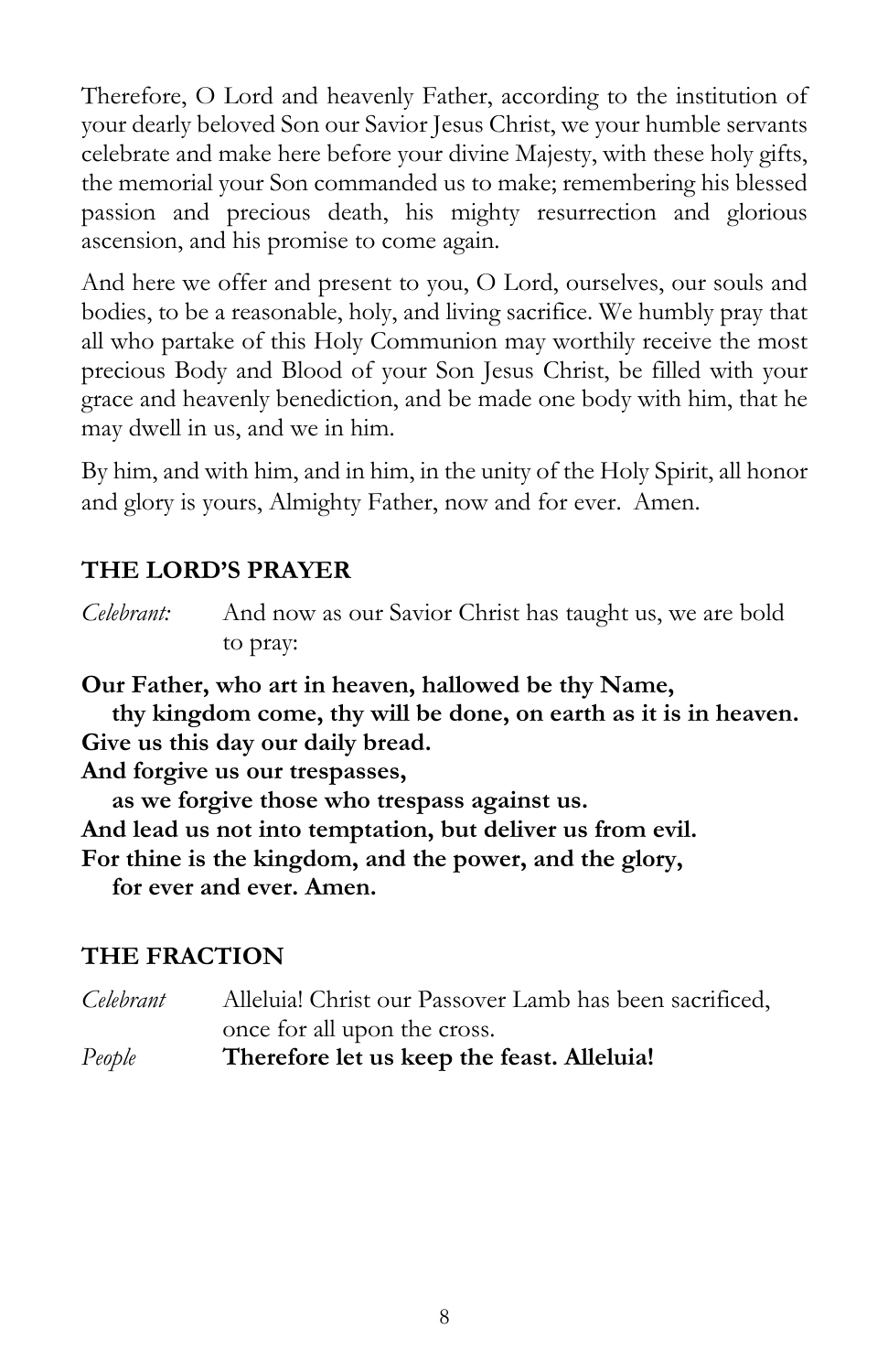Therefore, O Lord and heavenly Father, according to the institution of your dearly beloved Son our Savior Jesus Christ, we your humble servants celebrate and make here before your divine Majesty, with these holy gifts, the memorial your Son commanded us to make; remembering his blessed passion and precious death, his mighty resurrection and glorious ascension, and his promise to come again.

And here we offer and present to you, O Lord, ourselves, our souls and bodies, to be a reasonable, holy, and living sacrifice. We humbly pray that all who partake of this Holy Communion may worthily receive the most precious Body and Blood of your Son Jesus Christ, be filled with your grace and heavenly benediction, and be made one body with him, that he may dwell in us, and we in him.

By him, and with him, and in him, in the unity of the Holy Spirit, all honor and glory is yours, Almighty Father, now and for ever. Amen.

# **THE LORD'S PRAYER**

*Celebrant:* And now as our Savior Christ has taught us, we are bold to pray:

**Our Father, who art in heaven, hallowed be thy Name,**

**thy kingdom come, thy will be done, on earth as it is in heaven. Give us this day our daily bread.** 

**And forgive us our trespasses,** 

**as we forgive those who trespass against us. And lead us not into temptation, but deliver us from evil. For thine is the kingdom, and the power, and the glory,**

**for ever and ever. Amen.**

# **THE FRACTION**

| People    | Therefore let us keep the feast. Alleluia!              |
|-----------|---------------------------------------------------------|
|           | once for all upon the cross.                            |
| Celebrant | Alleluia! Christ our Passover Lamb has been sacrificed, |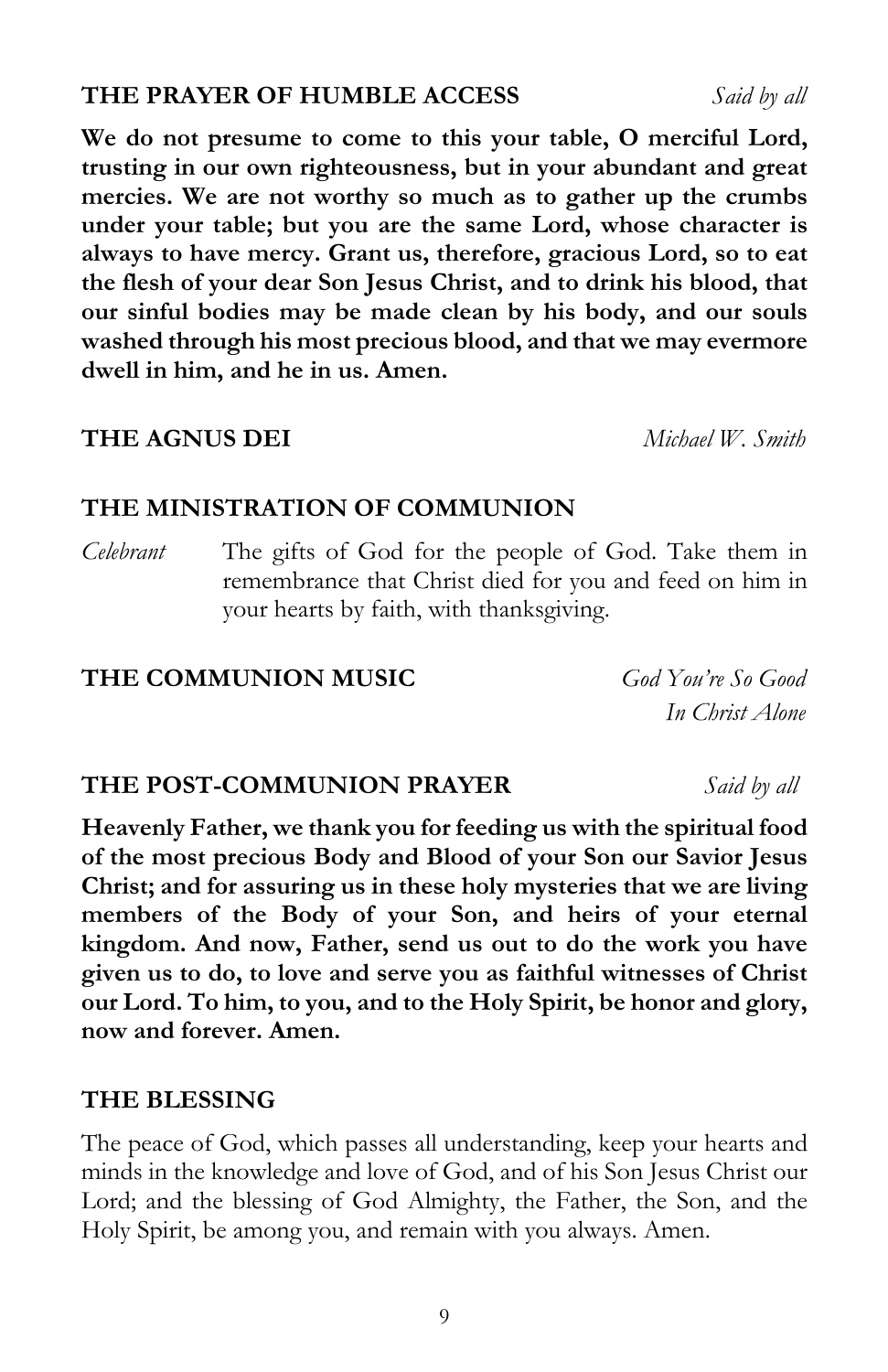### **THE PRAYER OF HUMBLE ACCESS** *Said by all*

**We do not presume to come to this your table, O merciful Lord, trusting in our own righteousness, but in your abundant and great mercies. We are not worthy so much as to gather up the crumbs under your table; but you are the same Lord, whose character is always to have mercy. Grant us, therefore, gracious Lord, so to eat the flesh of your dear Son Jesus Christ, and to drink his blood, that our sinful bodies may be made clean by his body, and our souls washed through his most precious blood, and that we may evermore dwell in him, and he in us. Amen.**

#### **THE AGNUS DEI** *Michael W. Smith*

# **THE MINISTRATION OF COMMUNION**

*Celebrant* The gifts of God for the people of God. Take them in remembrance that Christ died for you and feed on him in your hearts by faith, with thanksgiving.

#### **THE COMMUNION MUSIC** *God You're So Good*

*In Christ Alone*

### **THE POST-COMMUNION PRAYER** *Said by all*

**Heavenly Father, we thank you for feeding us with the spiritual food of the most precious Body and Blood of your Son our Savior Jesus Christ; and for assuring us in these holy mysteries that we are living members of the Body of your Son, and heirs of your eternal kingdom. And now, Father, send us out to do the work you have given us to do, to love and serve you as faithful witnesses of Christ our Lord. To him, to you, and to the Holy Spirit, be honor and glory, now and forever. Amen.** 

#### **THE BLESSING**

The peace of God, which passes all understanding, keep your hearts and minds in the knowledge and love of God, and of his Son Jesus Christ our Lord; and the blessing of God Almighty, the Father, the Son, and the Holy Spirit, be among you, and remain with you always. Amen.